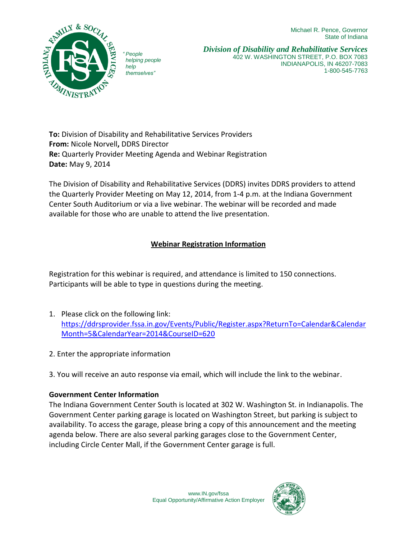Michael R. Pence, Governor State of Indiana



*" People helping people help themselves"*

*Division of Disability and Rehabilitative Services* 402 W. WASHINGTON STREET, P.O. BOX 7083 INDIANAPOLIS, IN 46207-7083 1-800-545-7763

**To:** Division of Disability and Rehabilitative Services Providers **From:** Nicole Norvell**,** DDRS Director **Re:** Quarterly Provider Meeting Agenda and Webinar Registration **Date:** May 9, 2014

The Division of Disability and Rehabilitative Services (DDRS) invites DDRS providers to attend the Quarterly Provider Meeting on May 12, 2014, from 1-4 p.m. at the Indiana Government Center South Auditorium or via a live webinar. The webinar will be recorded and made available for those who are unable to attend the live presentation.

## **Webinar Registration Information**

Registration for this webinar is required, and attendance is limited to 150 connections. Participants will be able to type in questions during the meeting.

- 1. Please click on the following link: [https://ddrsprovider.fssa.in.gov/Events/Public/Register.aspx?ReturnTo=Calendar&Calendar](https://ddrsprovider.fssa.in.gov/Events/Public/Register.aspx?ReturnTo=Calendar&CalendarMonth=5&CalendarYear=2014&CourseID=620) [Month=5&CalendarYear=2014&CourseID=620](https://ddrsprovider.fssa.in.gov/Events/Public/Register.aspx?ReturnTo=Calendar&CalendarMonth=5&CalendarYear=2014&CourseID=620)
- 2. Enter the appropriate information
- 3. You will receive an auto response via email, which will include the link to the webinar.

## **Government Center Information**

The Indiana Government Center South is located at 302 W. Washington St. in Indianapolis. The Government Center parking garage is located on Washington Street, but parking is subject to availability. To access the garage, please bring a copy of this announcement and the meeting agenda below. There are also several parking garages close to the Government Center, including Circle Center Mall, if the Government Center garage is full.